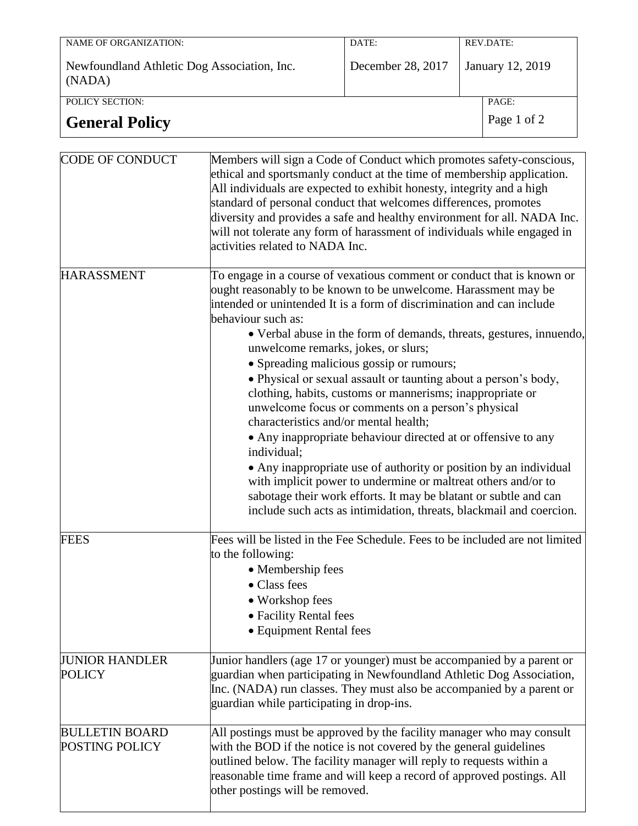| NAME OF ORGANIZATION:                                 | DATE:             | REV.DATE:        |       |
|-------------------------------------------------------|-------------------|------------------|-------|
| Newfoundland Athletic Dog Association, Inc.<br>(NADA) | December 28, 2017 | January 12, 2019 |       |
| POLICY SECTION:                                       |                   |                  | PAGE: |
| <b>General Policy</b>                                 | Page 1 of 2       |                  |       |

| CODE OF CONDUCT                         | Members will sign a Code of Conduct which promotes safety-conscious,<br>ethical and sportsmanly conduct at the time of membership application.<br>All individuals are expected to exhibit honesty, integrity and a high<br>standard of personal conduct that welcomes differences, promotes<br>diversity and provides a safe and healthy environment for all. NADA Inc.<br>will not tolerate any form of harassment of individuals while engaged in<br>activities related to NADA Inc.                                                                                                                                                                                                                                                                                                                                                                                                                                                                                                             |
|-----------------------------------------|----------------------------------------------------------------------------------------------------------------------------------------------------------------------------------------------------------------------------------------------------------------------------------------------------------------------------------------------------------------------------------------------------------------------------------------------------------------------------------------------------------------------------------------------------------------------------------------------------------------------------------------------------------------------------------------------------------------------------------------------------------------------------------------------------------------------------------------------------------------------------------------------------------------------------------------------------------------------------------------------------|
| <b>HARASSMENT</b>                       | To engage in a course of vexatious comment or conduct that is known or<br>ought reasonably to be known to be unwelcome. Harassment may be<br>intended or unintended It is a form of discrimination and can include<br>behaviour such as:<br>• Verbal abuse in the form of demands, threats, gestures, innuendo,<br>unwelcome remarks, jokes, or slurs;<br>• Spreading malicious gossip or rumours;<br>· Physical or sexual assault or taunting about a person's body,<br>clothing, habits, customs or mannerisms; inappropriate or<br>unwelcome focus or comments on a person's physical<br>characteristics and/or mental health;<br>• Any inappropriate behaviour directed at or offensive to any<br>individual;<br>• Any inappropriate use of authority or position by an individual<br>with implicit power to undermine or maltreat others and/or to<br>sabotage their work efforts. It may be blatant or subtle and can<br>include such acts as intimidation, threats, blackmail and coercion. |
| <b>FEES</b>                             | Fees will be listed in the Fee Schedule. Fees to be included are not limited<br>to the following:<br>• Membership fees<br>• Class fees<br>• Workshop fees<br>• Facility Rental fees<br>• Equipment Rental fees                                                                                                                                                                                                                                                                                                                                                                                                                                                                                                                                                                                                                                                                                                                                                                                     |
| <b>JUNIOR HANDLER</b><br><b>POLICY</b>  | Junior handlers (age 17 or younger) must be accompanied by a parent or<br>guardian when participating in Newfoundland Athletic Dog Association,<br>Inc. (NADA) run classes. They must also be accompanied by a parent or<br>guardian while participating in drop-ins.                                                                                                                                                                                                                                                                                                                                                                                                                                                                                                                                                                                                                                                                                                                              |
| <b>BULLETIN BOARD</b><br>POSTING POLICY | All postings must be approved by the facility manager who may consult<br>with the BOD if the notice is not covered by the general guidelines<br>outlined below. The facility manager will reply to requests within a<br>reasonable time frame and will keep a record of approved postings. All<br>other postings will be removed.                                                                                                                                                                                                                                                                                                                                                                                                                                                                                                                                                                                                                                                                  |